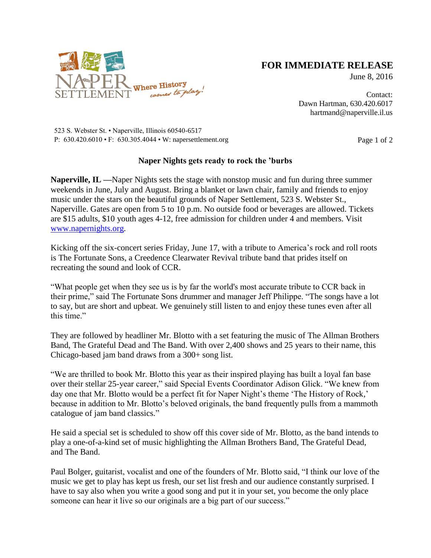

## **FOR IMMEDIATE RELEASE**

June 8, 2016

Contact: Dawn Hartman, 630.420.6017 hartmand@naperville.il.us

523 S. Webster St. • Naperville, Illinois 60540-6517 P:  $630.420.6010 \cdot F$ :  $630.305.4044 \cdot W$ : napersettlement.org Page 1 of 2

## **Naper Nights gets ready to rock the 'burbs**

**Naperville, IL —**Naper Nights sets the stage with nonstop music and fun during three summer weekends in June, July and August. Bring a blanket or lawn chair, family and friends to enjoy music under the stars on the beautiful grounds of Naper Settlement, 523 S. Webster St., Naperville. Gates are open from 5 to 10 p.m. No outside food or beverages are allowed. Tickets are \$15 adults, \$10 youth ages 4-12, free admission for children under 4 and members. Visit [www.napernights.org.](http://www.napernights.org/)

Kicking off the six-concert series Friday, June 17, with a tribute to America's rock and roll roots is The Fortunate Sons, a Creedence Clearwater Revival tribute band that prides itself on recreating the sound and look of CCR.

"What people get when they see us is by far the world's most accurate tribute to CCR back in their prime," said The Fortunate Sons drummer and manager Jeff Philippe. "The songs have a lot to say, but are short and upbeat. We genuinely still listen to and enjoy these tunes even after all this time."

They are followed by headliner Mr. Blotto with a set featuring the music of The Allman Brothers Band, The Grateful Dead and The Band. With over 2,400 shows and 25 years to their name, this Chicago-based jam band draws from a 300+ song list.

"We are thrilled to book Mr. Blotto this year as their inspired playing has built a loyal fan base over their stellar 25-year career," said Special Events Coordinator Adison Glick. "We knew from day one that Mr. Blotto would be a perfect fit for Naper Night's theme 'The History of Rock,' because in addition to Mr. Blotto's beloved originals, the band frequently pulls from a mammoth catalogue of jam band classics."

He said a special set is scheduled to show off this cover side of Mr. Blotto, as the band intends to play a one-of-a-kind set of music highlighting the Allman Brothers Band, The Grateful Dead, and The Band.

Paul Bolger, guitarist, vocalist and one of the founders of Mr. Blotto said, "I think our love of the music we get to play has kept us fresh, our set list fresh and our audience constantly surprised. I have to say also when you write a good song and put it in your set, you become the only place someone can hear it live so our originals are a big part of our success."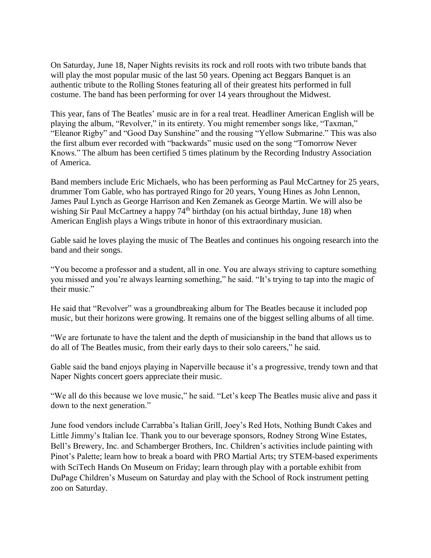On Saturday, June 18, Naper Nights revisits its rock and roll roots with two tribute bands that will play the most popular music of the last 50 years. Opening act Beggars Banquet is an authentic tribute to the Rolling Stones featuring all of their greatest hits performed in full costume. The band has been performing for over 14 years throughout the Midwest.

This year, fans of The Beatles' music are in for a real treat. Headliner American English will be playing the album, "Revolver," in its entirety. You might remember songs like, "Taxman," "Eleanor Rigby" and "Good Day Sunshine" and the rousing "Yellow Submarine." This was also the first album ever recorded with "backwards" music used on the song "Tomorrow Never Knows." The album has been certified 5 times platinum by the Recording Industry Association of America.

Band members include Eric Michaels, who has been performing as Paul McCartney for 25 years, drummer Tom Gable, who has portrayed Ringo for 20 years, Young Hines as John Lennon, James Paul Lynch as George Harrison and Ken Zemanek as George Martin. We will also be wishing Sir Paul McCartney a happy  $74<sup>th</sup>$  birthday (on his actual birthday, June 18) when American English plays a Wings tribute in honor of this extraordinary musician.

Gable said he loves playing the music of The Beatles and continues his ongoing research into the band and their songs.

"You become a professor and a student, all in one. You are always striving to capture something you missed and you're always learning something," he said. "It's trying to tap into the magic of their music."

He said that "Revolver" was a groundbreaking album for The Beatles because it included pop music, but their horizons were growing. It remains one of the biggest selling albums of all time.

"We are fortunate to have the talent and the depth of musicianship in the band that allows us to do all of The Beatles music, from their early days to their solo careers," he said.

Gable said the band enjoys playing in Naperville because it's a progressive, trendy town and that Naper Nights concert goers appreciate their music.

"We all do this because we love music," he said. "Let's keep The Beatles music alive and pass it down to the next generation."

June food vendors include Carrabba's Italian Grill, Joey's Red Hots, Nothing Bundt Cakes and Little Jimmy's Italian Ice. Thank you to our beverage sponsors, Rodney Strong Wine Estates, Bell's Brewery, Inc. and Schamberger Brothers, Inc. Children's activities include painting with Pinot's Palette; learn how to break a board with PRO Martial Arts; try STEM-based experiments with SciTech Hands On Museum on Friday; learn through play with a portable exhibit from DuPage Children's Museum on Saturday and play with the School of Rock instrument petting zoo on Saturday.